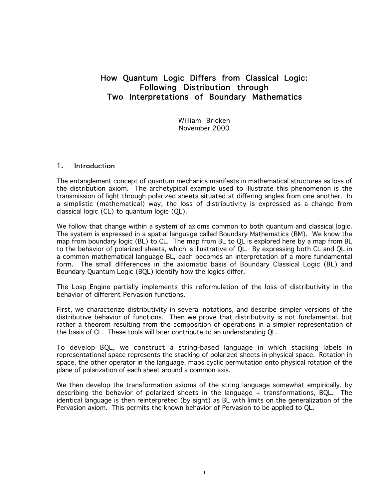# How Quantum Logic Differs from Classical Logic: Following Distribution through Two Interpretations of Boundary Mathematics

William Bricken November 2000

# 1. Introduction

The entanglement concept of quantum mechanics manifests in mathematical structures as loss of the distribution axiom. The archetypical example used to illustrate this phenomenon is the transmission of light through polarized sheets situated at differing angles from one another. In a simplistic (mathematical) way, the loss of distributivity is expressed as a change from classical logic (CL) to quantum logic (QL).

We follow that change within a system of axioms common to both quantum and classical logic. The system is expressed in a spatial language called Boundary Mathematics (BM). We know the map from boundary logic (BL) to CL. The map from BL to QL is explored here by a map from BL to the behavior of polarized sheets, which is illustrative of QL. By expressing both CL and QL in a common mathematical language BL, each becomes an interpretation of a more fundamental form. The small differences in the axiomatic basis of Boundary Classical Logic (BL) and Boundary Quantum Logic (BQL) identify how the logics differ.

The Losp Engine partially implements this reformulation of the loss of distributivity in the behavior of different Pervasion functions.

First, we characterize distributivity in several notations, and describe simpler versions of the distributive behavior of functions. Then we prove that distributivity is not fundamental, but rather a theorem resulting from the composition of operations in a simpler representation of the basis of CL. These tools will later contribute to an understanding QL.

To develop BQL, we construct a string-based language in which stacking labels in representational space represents the stacking of polarized sheets in physical space. Rotation in space, the other operator in the language, maps cyclic permutation onto physical rotation of the plane of polarization of each sheet around a common axis.

We then develop the transformation axioms of the string language somewhat empirically, by describing the behavior of polarized sheets in the language + transformations, BQL. The identical language is then reinterpreted (by sight) as BL with limits on the generalization of the Pervasion axiom. This permits the known behavior of Pervasion to be applied to QL.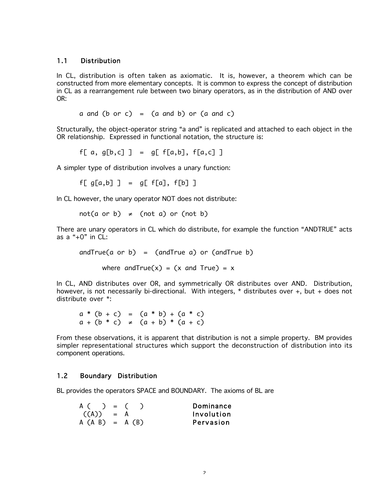### 1.1 Distribution

In CL, distribution is often taken as axiomatic. It is, however, a theorem which can be constructed from more elementary concepts. It is common to express the concept of distribution in CL as a rearrangement rule between two binary operators, as in the distribution of AND over OR:

a and  $(b \text{ or } c) = (a \text{ and } b) \text{ or } (a \text{ and } c)$ 

Structurally, the object-operator string "a and" is replicated and attached to each object in the OR relationship. Expressed in functional notation, the structure is:

f[ a, g[b,c] ] = g[  $f[a,b]$ ,  $f[a,c]$  ]

A simpler type of distribution involves a unary function:

 $f[g[a,b]] = gf[g]$ ,  $f[b]$ 

In CL however, the unary operator NOT does not distribute:

not(a or b)  $\neq$  (not a) or (not b)

There are unary operators in CL which do distribute, for example the function "ANDTRUE" acts as a " $+0$ " in CL:

and $True(a$  or  $b) = (andTrue a)$  or  $(andTrue b)$ 

where and  $True(x) = (x \text{ and } True) = x$ 

In CL, AND distributes over OR, and symmetrically OR distributes over AND. Distribution, however, is not necessarily bi-directional. With integers, \* distributes over +, but + does not distribute over \*:

a \* (b + c) = (a \* b) + (a \* c)  $a + (b * c) \neq (a + b) * (a + c)$ 

From these observations, it is apparent that distribution is not a simple property. BM provides simpler representational structures which support the deconstruction of distribution into its component operations.

# 1.2 Boundary Distribution

BL provides the operators SPACE and BOUNDARY. The axioms of BL are

| A ( ) = (         |  | Dominance  |
|-------------------|--|------------|
| $((A)) = A$       |  | Involution |
| $A (A B) = A (B)$ |  | Pervasion  |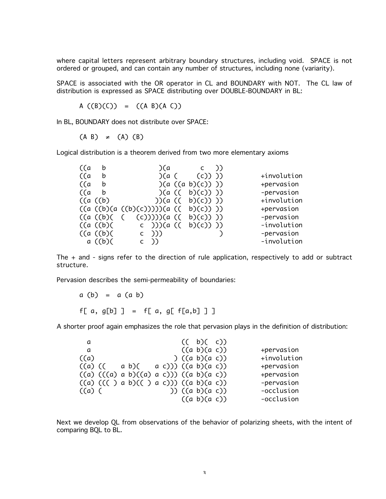where capital letters represent arbitrary boundary structures, including void. SPACE is not ordered or grouped, and can contain any number of structures, including none (variarity).

SPACE is associated with the OR operator in CL and BOUNDARY with NOT. The CL law of distribution is expressed as SPACE distributing over DOUBLE-BOUNDARY in BL:

A  $((B)(C)) = ((A B)(A C))$ 

In BL, BOUNDARY does not distribute over SPACE:

 $(A \ B) \neq (A) (B)$ 

Logical distribution is a theorem derived from two more elementary axioms

| ((a  | b        | )(a                                 | (C)               |             |
|------|----------|-------------------------------------|-------------------|-------------|
| (Ca) | b        |                                     | (a (c)))          | +involution |
| (Ca) | b        |                                     | (a (a b)(c))      | +pervasion  |
| (Ca) | b        |                                     | (a (( b)(c)))     | -pervasion  |
|      | ((a)(b)) |                                     | ))(a (( b)(c)) )) | +involution |
|      |          | ((a ((b)(a ((b)(c)))))(a (( b)(c))) |                   | +pervasion  |
|      | ((a (b)) | ( (c))))(a (( b)(c)))               |                   | -pervasion  |
|      | ((a)(b)) | c )))(a (( b)(c)) ))                |                   | -involution |
|      | ((a (b)) | $(C)$ )                             |                   | -pervasion  |
|      | a ((b)(  | ( )                                 |                   | -involution |

The + and - signs refer to the direction of rule application, respectively to add or subtract structure.

Pervasion describes the semi-permeability of boundaries:

 $a (b) = a (a b)$ f[ a, g[b] ] = f[ a, g[  $f[a,b]$  ] ]

A shorter proof again emphasizes the role that pervasion plays in the definition of distribution:

| - a    |         |                                          |  | (( b)( c))           |  |             |
|--------|---------|------------------------------------------|--|----------------------|--|-------------|
| a      |         |                                          |  | ((a b)(a c))         |  | +pervasion  |
| ((a))  |         |                                          |  | ) $((a \ b)(a \ c))$ |  | +involution |
|        | ((a) (( | $a b)$ ( $a c)$ )) (( $a b)$ ( $a c)$ )  |  |                      |  | +pervasion  |
|        |         | $((a) ((a) a b)((a) a c))) ((a b)(a c))$ |  |                      |  | +pervasion  |
|        |         | ((a) ((() a b)(() a c))) ((a b)(a c))    |  |                      |  | -pervasion  |
| ((a) ( |         |                                          |  | )) $((a b)(a c))$    |  | -occlusion  |
|        |         |                                          |  | $((a \ b)(a \ c))$   |  | -occlusion  |

Next we develop QL from observations of the behavior of polarizing sheets, with the intent of comparing BQL to BL.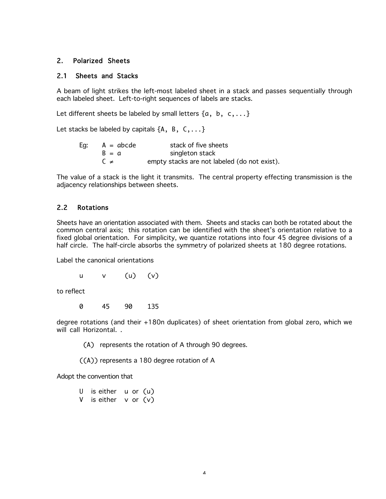# 2. Polarized Sheets

### 2.1 Sheets and Stacks

A beam of light strikes the left-most labeled sheet in a stack and passes sequentially through each labeled sheet. Left-to-right sequences of labels are stacks.

Let different sheets be labeled by small letters  $\{a, b, c, ...\}$ 

Let stacks be labeled by capitals  $\{A, B, C, \ldots\}$ 

| Eg: | $A = abcde$ | stack of five sheets                         |
|-----|-------------|----------------------------------------------|
|     | $B = a$     | singleton stack                              |
|     | $C \neq$    | empty stacks are not labeled (do not exist). |

The value of a stack is the light it transmits. The central property effecting transmission is the adjacency relationships between sheets.

# 2.2 Rotations

Sheets have an orientation associated with them. Sheets and stacks can both be rotated about the common central axis; this rotation can be identified with the sheet's orientation relative to a fixed global orientation. For simplicity, we quantize rotations into four 45 degree divisions of a half circle. The half-circle absorbs the symmetry of polarized sheets at 180 degree rotations.

Label the canonical orientations

u v (u) (v)

to reflect

0 45 90 135

degree rotations (and their +180n duplicates) of sheet orientation from global zero, which we will call Horizontal. .

(A) represents the rotation of A through 90 degrees.

((A)) represents a 180 degree rotation of A

Adopt the convention that

U is either u or (u) V is either  $v$  or  $(v)$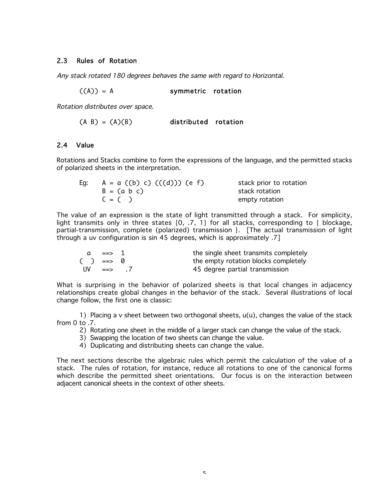# 2.3 Rules of Rotation

Any stack rotated 180 degrees behaves the same with regard to Horizontal.

 $((A)) = A$  symmetric rotation

Rotation distributes over space.

 $(A \ B) = (A)(B)$  distributed rotation

# 2.4 Value

Rotations and Stacks combine to form the expressions of the language, and the permitted stacks of polarized sheets in the interpretation.

| Eg: | $A = a ((b) c) ((d))) (e f)$ | stack prior to rotation |
|-----|------------------------------|-------------------------|
|     | $B = (a b c)$                | stack rotation          |
|     | $C = ( )$                    | empty rotation          |

The value of an expression is the state of light transmitted through a stack. For simplicity, light transmits only in three states {0, .7, 1} for all stacks, corresponding to { blockage, partial-transmission, complete (polarized) transmission }. [The actual transmission of light through a uv configuration is sin 45 degrees, which is approximately .7]

| $\overline{a}$  |                 | the single sheet transmits completely |
|-----------------|-----------------|---------------------------------------|
| $() \implies 0$ |                 | the empty rotation blocks completely  |
|                 | $UV \implies 7$ | 45 degree partial transmission        |

What is surprising in the behavior of polarized sheets is that local changes in adjacency relationships create global changes in the behavior of the stack. Several illustrations of local change follow, the first one is classic:

1) Placing a v sheet between two orthogonal sheets, u(u), changes the value of the stack from 0 to .7.

- 2) Rotating one sheet in the middle of a larger stack can change the value of the stack.
- 3) Swapping the location of two sheets can change the value.
- 4) Duplicating and distributing sheets can change the value.

The next sections describe the algebraic rules which permit the calculation of the value of a stack. The rules of rotation, for instance, reduce all rotations to one of the canonical forms which describe the permitted sheet orientations. Our focus is on the interaction between adjacent canonical sheets in the context of other sheets.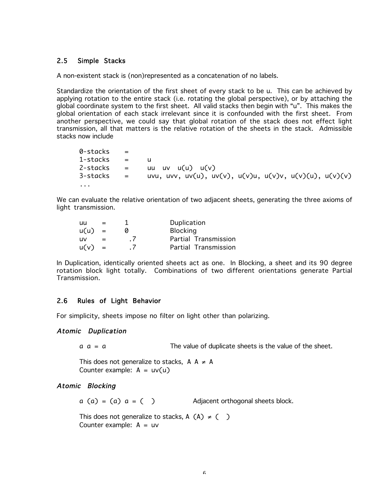# 2.5 Simple Stacks

A non-existent stack is (non)represented as a concatenation of no labels.

Standardize the orientation of the first sheet of every stack to be u. This can be achieved by applying rotation to the entire stack (i.e. rotating the global perspective), or by attaching the global coordinate system to the first sheet. All valid stacks then begin with "u". This makes the global orientation of each stack irrelevant since it is confounded with the first sheet. From another perspective, we could say that global rotation of the stack does not effect light transmission, all that matters is the relative rotation of the sheets in the stack. Admissible stacks now include

 $0$ -stacks  $=$ 1-stacks = u  $2$ -stacks = uu uv u $(u)$  u $(v)$ 3-stacks = uvu, uvv, uv(u), uv(v), u(v)u, u(v)v, u(v)(u), u(v)(v) ...

We can evaluate the relative orientation of two adjacent sheets, generating the three axioms of light transmission.

| uu       | $=$      |                  | Duplication          |
|----------|----------|------------------|----------------------|
| u(u)     | $\equiv$ |                  | <b>Blocking</b>      |
| -lJV     |          | $\cdot$ $\prime$ | Partial Transmission |
| $u(v) =$ |          | $\cdot$ $\prime$ | Partial Transmission |

In Duplication, identically oriented sheets act as one. In Blocking, a sheet and its 90 degree rotation block light totally. Combinations of two different orientations generate Partial Transmission.

#### 2.6 Rules of Light Behavior

For simplicity, sheets impose no filter on light other than polarizing.

### Atomic Duplication

 $a = a$  The value of duplicate sheets is the value of the sheet.

This does not generalize to stacks,  $\, {\sf A} \,$   $\,$   $\neq$   $\, {\sf A} \,$ Counter example:  $A = uv(u)$ 

### Atomic Blocking

 $a (a) = (a) a = ( )$  Adjacent orthogonal sheets block.

This does not generalize to stacks, A  $(A) \neq ($   $)$ Counter example:  $A = uv$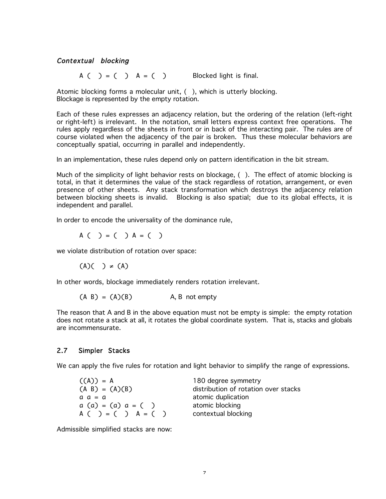# Contextual blocking

 $A \left( \begin{array}{c} \end{array} \right) = \left( \begin{array}{c} \end{array} \right)$   $A = \left( \begin{array}{c} \end{array} \right)$  Blocked light is final.

Atomic blocking forms a molecular unit, ( ), which is utterly blocking. Blockage is represented by the empty rotation.

Each of these rules expresses an adjacency relation, but the ordering of the relation (left-right or right-left) is irrelevant. In the notation, small letters express context free operations. The rules apply regardless of the sheets in front or in back of the interacting pair. The rules are of course violated when the adjacency of the pair is broken. Thus these molecular behaviors are conceptually spatial, occurring in parallel and independently.

In an implementation, these rules depend only on pattern identification in the bit stream.

Much of the simplicity of light behavior rests on blockage, ( ). The effect of atomic blocking is total, in that it determines the value of the stack regardless of rotation, arrangement, or even presence of other sheets. Any stack transformation which destroys the adjacency relation between blocking sheets is invalid. Blocking is also spatial; due to its global effects, it is independent and parallel.

In order to encode the universality of the dominance rule,

$$
A( ) = ( ) A = ( )
$$

we violate distribution of rotation over space:

 $(A)( ) \neq (A)$ 

In other words, blockage immediately renders rotation irrelevant.

 $(A \ B) = (A)(B)$  A, B not empty

The reason that A and B in the above equation must not be empty is simple: the empty rotation does not rotate a stack at all, it rotates the global coordinate system. That is, stacks and globals are incommensurate.

# 2.7 Simpler Stacks

We can apply the five rules for rotation and light behavior to simplify the range of expressions.

| $((A)) = A$          |  |
|----------------------|--|
| $(A \ B) = (A)(B)$   |  |
| $a \ a = a$          |  |
| $a(a) = (a) a = (a)$ |  |
| $A( ) = ( ) A = ( )$ |  |

180 degree symmetry distribution of rotation over stacks atomic duplication atomic blocking contextual blocking

Admissible simplified stacks are now: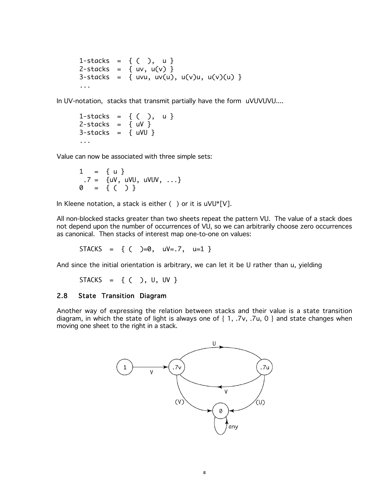1-stacks = {  $()$ , u }  $2$ -stacks = { uv, u(v) } 3-stacks = { uvu, uv(u), u(v)u, u(v)(u) } ...

In UV-notation, stacks that transmit partially have the form uVUVUVU....

1-stacks =  $\{ ( ) , u \}$  $2$ -stacks = { uV }  $3$ -stacks = { uVU } ...

Value can now be associated with three simple sets:

 $1 = \{ u \}$  $.7 = \{uv, uvU, uvUV, ... \}$  $0 = \{ (\ )\}^7$ 

In Kleene notation, a stack is either  $( )$  or it is uVU\*[V].

All non-blocked stacks greater than two sheets repeat the pattern VU. The value of a stack does not depend upon the number of occurrences of VU, so we can arbitrarily choose zero occurrences as canonical. Then stacks of interest map one-to-one on values:

 $STACKS = \{ ( )=0, uv=.7, u=1 \}$ 

And since the initial orientation is arbitrary, we can let it be U rather than u, yielding

STACKS = 
$$
{ ( ) , U , UV }
$$

# 2.8 State Transition Diagram

Another way of expressing the relation between stacks and their value is a state transition diagram, in which the state of light is always one of { 1, .7v, .7u, 0 } and state changes when moving one sheet to the right in a stack.

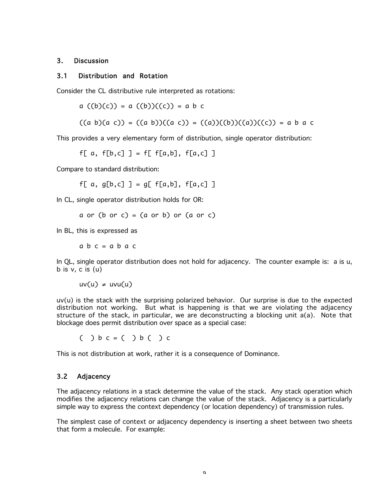### 3. Discussion

#### 3.1 Distribution and Rotation

Consider the CL distributive rule interpreted as rotations:

a  $((b)(c)) = a ((b))((c)) = a b c$ 

$$
((a b)(a c)) = ((a b))((a c)) = ((a))((b))((a))((c)) = a b a c
$$

This provides a very elementary form of distribution, single operator distribution:

f[ a,  $f[b,c]$  ] = f[  $f[a,b]$ ,  $f[a,c]$  ]

Compare to standard distribution:

f[ a,  $q[b, c]$  ] =  $q[ f[a, b]$ ,  $f[a, c]$  ]

In CL, single operator distribution holds for OR:

 $a$  or ( $b$  or  $c$ ) = ( $a$  or  $b$ ) or ( $a$  or  $c$ )

In BL, this is expressed as

 $abc = abac$ 

In QL, single operator distribution does not hold for adjacency. The counter example is: a is u, b is v, c is (u)

uv(u) ≠ uvu(u)

uv(u) is the stack with the surprising polarized behavior. Our surprise is due to the expected distribution not working. But what is happening is that we are violating the adjacency structure of the stack, in particular, we are deconstructing a blocking unit a(a). Note that blockage does permit distribution over space as a special case:

 $( ) b c = ( ) b ( ) c$ 

This is not distribution at work, rather it is a consequence of Dominance.

### 3.2 Adjacency

The adjacency relations in a stack determine the value of the stack. Any stack operation which modifies the adjacency relations can change the value of the stack. Adjacency is a particularly simple way to express the context dependency (or location dependency) of transmission rules.

The simplest case of context or adjacency dependency is inserting a sheet between two sheets that form a molecule. For example: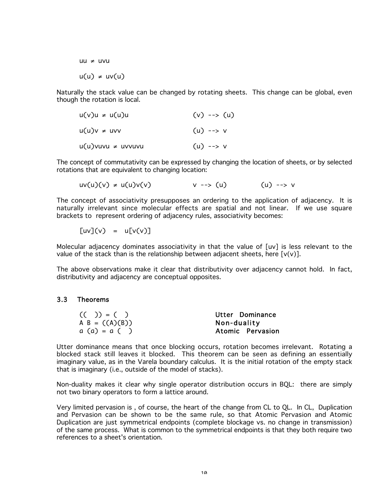uu ≠ uvu u(u) ≠ uv(u)

Naturally the stack value can be changed by rotating sheets. This change can be global, even though the rotation is local.

| $u(v)u \neq u(u)u$        | $(v)$ --> $(u)$ |  |
|---------------------------|-----------------|--|
| $u(u)v \neq uvv$          | $(u)$ --> v     |  |
| $u(u)$ vuvu $\neq$ uvvuvu | $(u)$ --> v     |  |

The concept of commutativity can be expressed by changing the location of sheets, or by selected rotations that are equivalent to changing location:

$$
uv(u)(v) \neq u(u)v(v)
$$
  $v \rightarrow (u)$  (u)  $\rightarrow v$ 

The concept of associativity presupposes an ordering to the application of adjacency. It is naturally irrelevant since molecular effects are spatial and not linear. If we use square brackets to represent ordering of adjacency rules, associativity becomes:

 $\lceil uv \rceil(v) = u \lceil v(v) \rceil$ 

Molecular adjacency dominates associativity in that the value of [uv] is less relevant to the value of the stack than is the relationship between adjacent sheets, here  $[v(v)]$ .

The above observations make it clear that distributivity over adjacency cannot hold. In fact, distributivity and adjacency are conceptual opposites.

### 3.3 Theorems

| $(( )$ = ( )     | Utter Dominance  |
|------------------|------------------|
| A B = $((A)(B))$ | Non-duality      |
| $a(a) = a( )$    | Atomic Pervasion |

Utter dominance means that once blocking occurs, rotation becomes irrelevant. Rotating a blocked stack still leaves it blocked. This theorem can be seen as defining an essentially imaginary value, as in the Varela boundary calculus. It is the initial rotation of the empty stack that is imaginary (i.e., outside of the model of stacks).

Non-duality makes it clear why single operator distribution occurs in BQL: there are simply not two binary operators to form a lattice around.

Very limited pervasion is , of course, the heart of the change from CL to QL. In CL, Duplication and Pervasion can be shown to be the same rule, so that Atomic Pervasion and Atomic Duplication are just symmetrical endpoints (complete blockage vs. no change in transmission) of the same process. What is common to the symmetrical endpoints is that they both require two references to a sheet's orientation.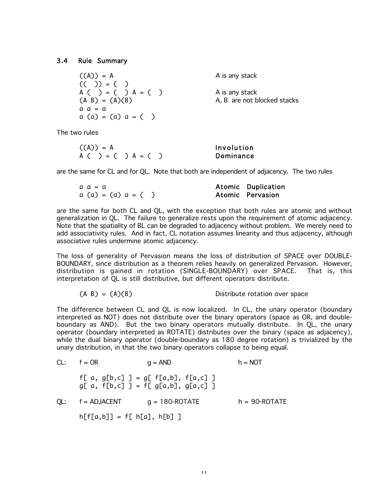#### 3.4 Rule Summary

 $((A)) = A$  A is any stack (( )) = ( ) A ( ) = ( ) A = ( ) A is any stack  $a \ a = a$  $a (a) = (a) a = ( )$ 

 $(A \ B) = (A)(B)$  A, B are not blocked stacks

The two rules

| $((A)) = A$         | Involution |
|---------------------|------------|
| A ( ) = ( ) A = ( ) | Dominance  |

are the same for CL and for QL. Note that both are independent of adjacency. The two rules

| a a = a           | Atomic Duplication      |
|-------------------|-------------------------|
| a (a) = (a) a = ( | <b>Atomic Pervasion</b> |

are the same for both CL and QL, with the exception that both rules are atomic and without generalization in QL. The failure to generalize rests upon the requirement of atomic adjacency. Note that the spatiality of BL can be degraded to adjacency without problem. We merely need to add associativity rules. And in fact, CL notation assumes linearity and thus adjacency, although associative rules undermine atomic adjacency.

The loss of generality of Pervasion means the loss of distribution of SPACE over DOUBLE-BOUNDARY, since distribution as a theorem relies heavily on generalized Pervasion. However, distribution is gained in rotation (SINGLE-BOUNDARY) over SPACE. That is, this interpretation of QL is still distributive, but different operators distribute.

$$
(A \ B) = (A)(B)
$$
 Distribute rotation over space

The difference between CL and QL is now localized. In CL, the unary operator (boundary interpreted as NOT) does not distribute over the binary operators (space as OR, and doubleboundary as AND). But the two binary operators mutually distribute. In QL, the unary operator (boundary interpreted as ROTATE) distributes over the binary (space as adjacency), while the dual binary operator (double-boundary as 180 degree rotation) is trivialized by the unary distribution, in that the two binary operators collapse to being equal.

| $CL:$ $f = OR$              | $q = AND$                                                                  | $h = NOT$         |
|-----------------------------|----------------------------------------------------------------------------|-------------------|
|                             | f[ a, g[b,c] ] = g[ f[a,b], f[a,c] ]<br>$g[a, f[b,c]] = f[g[a,b], g[a,c]]$ |                   |
| $QL:$ $f = ADJACENT$        | $q = 180$ -ROTATE                                                          | $h = 90 - ROTATE$ |
| $h[f[a,b]] = f[h[a], h[b]]$ |                                                                            |                   |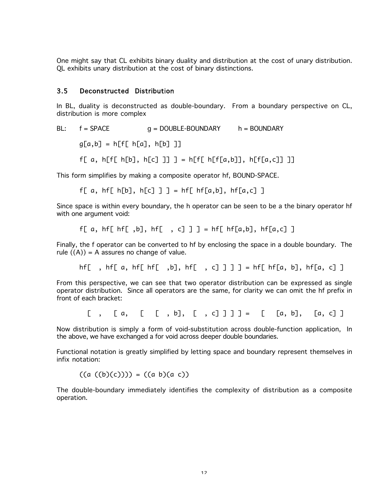One might say that CL exhibits binary duality and distribution at the cost of unary distribution. QL exhibits unary distribution at the cost of binary distinctions.

# 3.5 Deconstructed Distribution

In BL, duality is deconstructed as double-boundary. From a boundary perspective on CL, distribution is more complex

BL: 
$$
f = SPACE
$$
  $g = DOUBLE-BOUNDARY$   $h = BOUNDARY$ 

 $g[a,b] = h[f[ h[a], h[b]]]$ 

$$
f[a, h[f[b], h[c]]]
$$
 =  $h[f[b[f[a,b]], h[f[a,c]]]$ 

This form simplifies by making a composite operator hf, BOUND-SPACE.

f[ a, hf[ h[b], h[c] ] ] = hf[ hf[a,b], hf[a,c] ]

Since space is within every boundary, the h operator can be seen to be a the binary operator hf with one argument void:

$$
f[a, h f[hf[, b], h f[, c]] = h f[hf[a,b], h f[a,c]]
$$

Finally, the f operator can be converted to hf by enclosing the space in a double boundary. The rule  $((A)) = A$  assures no change of value.

hf[, hf[ a, hf[ hf[, b], hf[, c] ] ] = hf[ hf[a, b], hf[a, c] ]

From this perspective, we can see that two operator distribution can be expressed as single operator distribution. Since all operators are the same, for clarity we can omit the hf prefix in front of each bracket:

 $[ , [ a, [ [ , b], [ , c]] ] = [ [ a, b], [ a, c]] ]$ 

Now distribution is simply a form of void-substitution across double-function application, In the above, we have exchanged a for void across deeper double boundaries.

Functional notation is greatly simplified by letting space and boundary represent themselves in infix notation:

 $((a ((b)(c)))) = ((a b)(a c))$ 

The double-boundary immediately identifies the complexity of distribution as a composite operation.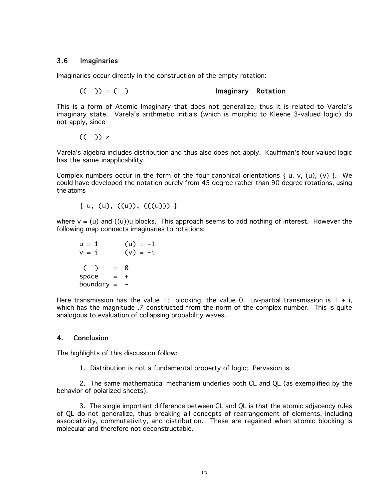### 3.6 Imaginaries

Imaginaries occur directly in the construction of the empty rotation:

$$
(( ) ) = ( )
$$
 **Imaginary Rotation**

This is a form of Atomic Imaginary that does not generalize, thus it is related to Varela's imaginary state. Varela's arithmetic initials (which is morphic to Kleene 3-valued logic) do not apply, since

(( )) -

Varela's algebra includes distribution and thus also does not apply. Kauffman's four valued logic has the same inapplicability.

Complex numbers occur in the form of the four canonical orientations { u, v, (u), (v) }. We could have developed the notation purely from 45 degree rather than 90 degree rotations, using the atoms

 $\{u, (u), ((u)), ((u))\}$ 

where  $y = (u)$  and  $((u))u$  blocks. This approach seems to add nothing of interest. However the following map connects imaginaries to rotations:

$$
u = 1
$$
  $(u) = -1$   
\n $v = i$   $(v) = -i$   
\n $( ) = 0$   
\nspace = +  
\nboundary = -

Here transmission has the value 1; blocking, the value 0. uv-partial transmission is  $1 + i$ , which has the magnitude .7 constructed from the norm of the complex number. This is quite analogous to evaluation of collapsing probability waves.

### 4. Conclusion

The highlights of this discussion follow:

1. Distribution is not a fundamental property of logic; Pervasion is.

2. The same mathematical mechanism underlies both CL and QL (as exemplified by the behavior of polarized sheets).

3. The single important difference between CL and QL is that the atomic adjacency rules of QL do not generalize, thus breaking all concepts of rearrangement of elements, including associativity, commutativity, and distribution. These are regained when atomic blocking is molecular and therefore not deconstructable.